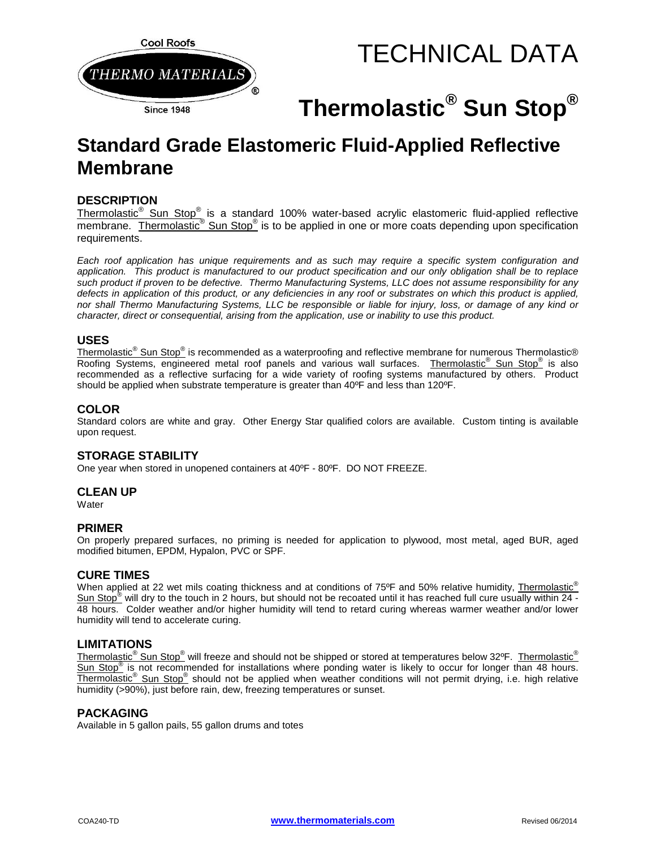

# TECHNICAL DATA

# **Thermolastic® Sun Stop®**

# **Standard Grade Elastomeric Fluid-Applied Reflective Membrane**

## **DESCRIPTION**

Thermolastic<sup>®</sup> Sun Stop<sup>®</sup> is a standard 100% water-based acrylic elastomeric fluid-applied reflective membrane. Thermolastic<sup>®</sup> Sun Stop<sup>®</sup> is to be applied in one or more coats depending upon specification requirements.

*Each roof application has unique requirements and as such may require a specific system configuration and application. This product is manufactured to our product specification and our only obligation shall be to replace such product if proven to be defective. Thermo Manufacturing Systems, LLC does not assume responsibility for any defects in application of this product, or any deficiencies in any roof or substrates on which this product is applied, nor shall Thermo Manufacturing Systems, LLC be responsible or liable for injury, loss, or damage of any kind or character, direct or consequential, arising from the application, use or inability to use this product.*

#### **USES**

Thermolastic<sup>®</sup> Sun Stop<sup>®</sup> is recommended as a waterproofing and reflective membrane for numerous Thermolastic® Roofing Systems, engineered metal roof panels and various wall surfaces. Thermolastic<sup>®</sup> Sun Stop<sup>®</sup> is also recommended as a reflective surfacing for a wide variety of roofing systems manufactured by others. Product should be applied when substrate temperature is greater than 40ºF and less than 120ºF.

#### **COLOR**

Standard colors are white and gray. Other Energy Star qualified colors are available. Custom tinting is available upon request.

## **STORAGE STABILITY**

One year when stored in unopened containers at 40ºF - 80ºF. DO NOT FREEZE.

#### **CLEAN UP**

**Water** 

#### **PRIMER**

On properly prepared surfaces, no priming is needed for application to plywood, most metal, aged BUR, aged modified bitumen, EPDM, Hypalon, PVC or SPF.

#### **CURE TIMES**

When applied at 22 wet mils coating thickness and at conditions of 75°F and 50% relative humidity, Thermolastic® Sun Stop $^{\degree}$  will dry to the touch in 2 hours, but should not be recoated until it has reached full cure usually within  $24$  -48 hours. Colder weather and/or higher humidity will tend to retard curing whereas warmer weather and/or lower humidity will tend to accelerate curing.

#### **LIMITATIONS**

Thermolastic<sup>®</sup> Sun Stop<sup>®</sup> will freeze and should not be shipped or stored at temperatures below 32°F. Thermolastic<sup>®</sup> Sun Stop<sup>®</sup> is not recommended for installations where ponding water is likely to occur for longer than 48 hours. Thermolastic<sup>®</sup> Sun Stop<sup>®</sup> should not be applied when weather conditions will not permit drying, i.e. high relative humidity (>90%), just before rain, dew, freezing temperatures or sunset.

#### **PACKAGING**

Available in 5 gallon pails, 55 gallon drums and totes